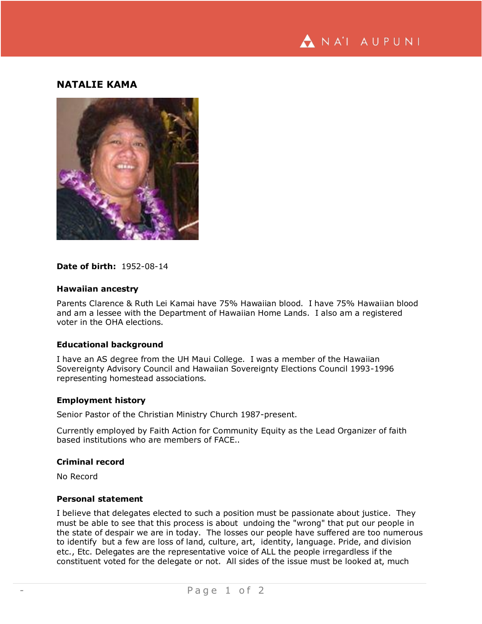

# **NATALIE KAMA**



## **Date of birth:** 1952-08-14

#### **Hawaiian ancestry**

Parents Clarence & Ruth Lei Kamai have 75% Hawaiian blood. I have 75% Hawaiian blood and am a lessee with the Department of Hawaiian Home Lands. I also am a registered voter in the OHA elections.

### **Educational background**

I have an AS degree from the UH Maui College. I was a member of the Hawaiian Sovereignty Advisory Council and Hawaiian Sovereignty Elections Council 1993-1996 representing homestead associations.

### **Employment history**

Senior Pastor of the Christian Ministry Church 1987-present.

Currently employed by Faith Action for Community Equity as the Lead Organizer of faith based institutions who are members of FACE..

#### **Criminal record**

No Record

### **Personal statement**

I believe that delegates elected to such a position must be passionate about justice. They must be able to see that this process is about undoing the "wrong" that put our people in the state of despair we are in today. The losses our people have suffered are too numerous to identify but a few are loss of land, culture, art, identity, language. Pride, and division etc., Etc. Delegates are the representative voice of ALL the people irregardless if the constituent voted for the delegate or not. All sides of the issue must be looked at, much